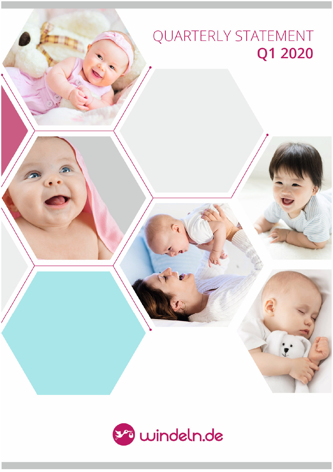# QUARTERLY STATEMENT Q1 2020

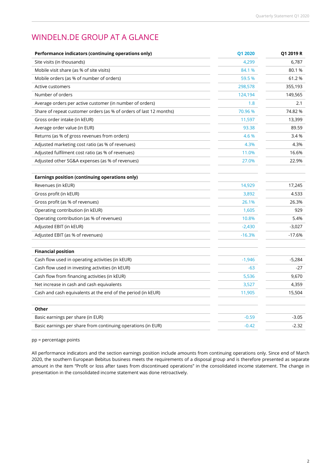# WINDELN.DE GROUP AT A GLANCE

| Performance indicators (continuing operations only)                | Q1 2020  | Q1 2019 R |
|--------------------------------------------------------------------|----------|-----------|
| Site visits (in thousands)                                         | 4,299    | 6,787     |
| Mobile visit share (as % of site visits)                           | 84.1 %   | 80.1%     |
| Mobile orders (as % of number of orders)                           | 59.5 %   | 61.2%     |
| Active customers                                                   | 298,578  | 355,193   |
| Number of orders                                                   | 124,194  | 149,565   |
| Average orders per active customer (in number of orders)           | 1.8      | 2.1       |
| Share of repeat customer orders (as % of orders of last 12 months) | 70.96 %  | 74.82%    |
| Gross order intake (in kEUR)                                       | 11,597   | 13,399    |
| Average order value (in EUR)                                       | 93.38    | 89.59     |
| Returns (as % of gross revenues from orders)                       | 4.6 %    | 3.4 %     |
| Adjusted marketing cost ratio (as % of revenues)                   | 4.3%     | 4.3%      |
| Adjusted fulfilment cost ratio (as % of revenues)                  | 11.0%    | 16.6%     |
| Adjusted other SG&A expenses (as % of revenues)                    | 27.0%    | 22.9%     |
| <b>Earnings position (continuing operations only)</b>              |          |           |
| Revenues (in kEUR)                                                 | 14,929   | 17,245    |
| Gross profit (in kEUR)                                             | 3,892    | 4.533     |
| Gross profit (as % of revenues)                                    | 26.1%    | 26.3%     |
| Operating contribution (in kEUR)                                   | 1,605    | 929       |
| Operating contribution (as % of revenues)                          | 10.8%    | 5.4%      |
| Adjusted EBIT (in kEUR)                                            | $-2,430$ | $-3,027$  |
| Adjusted EBIT (as % of revenues)                                   | $-16.3%$ | $-17.6%$  |
| <b>Financial position</b>                                          |          |           |
| Cash flow used in operating activities (in kEUR)                   | $-1,946$ | $-5,284$  |
| Cash flow used in investing activities (in kEUR)                   | $-63$    | $-27$     |
| Cash flow from financing activities (in kEUR)                      | 5,536    | 9,670     |
| Net increase in cash and cash equivalents                          | 3,527    | 4,359     |
| Cash and cash equivalents at the end of the period (in kEUR)       | 11,905   | 15,504    |
| Other                                                              |          |           |
| Basic earnings per share (in EUR)                                  | $-0.59$  | $-3.05$   |
| Basic earnings per share from continuing operations (in EUR)       | $-0.42$  | $-2.32$   |

pp = percentage points

All performance indicators and the section earnings position include amounts from continuing operations only. Since end of March 2020, the southern European Bebitus business meets the requirements of a disposal group and is therefore presented as separate amount in the item "Profit or loss after taxes from discontinued operations" in the consolidated income statement. The change in presentation in the consolidated income statement was done retroactively.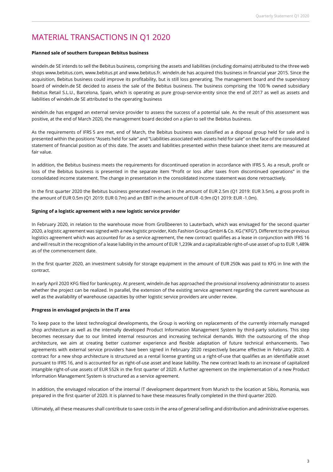# MATERIAL TRANSACTIONS IN Q1 2020

#### **Planned sale of southern European Bebitus business**

windeln.de SE intends to sell the Bebitus business, comprising the assets and liabilities (including domains) attributed to the three web shops www.bebitus.com, www.bebitus.pt and www.bebitus.fr. windeln.de has acquired this business in financial year 2015. Since the acquisition, Bebitus business could improve its profitability, but is still loss generating. The management board and the supervisory board of windeln.de SE decided to assess the sale of the Bebitus business. The business comprising the 100 % owned subsidiary Bebitus Retail S.L.U., Barcelona, Spain, which is operating as pure group-service-entity since the end of 2017 as well as assets and liabilities of windeln.de SE attributed to the operating business

windeln.de has engaged an external service provider to assess the success of a potential sale. As the result of this assessment was positive, at the end of March 2020, the management board decided on a plan to sell the Bebitus business.

As the requirements of IFRS 5 are met, end of March, the Bebitus business was classified as a disposal group held for sale and is presented within the positions "Assets held for sale" and "Liabilities associated with assets held for sale" on the face of the consolidated statement of financial position as of this date. The assets and liabilities presented within these balance sheet items are measured at fair value.

In addition, the Bebitus business meets the requirements for discontinued operation in accordance with IFRS 5. As a result, profit or loss of the Bebitus business is presented in the separate item "Profit or loss after taxes from discontinued operations" in the consolidated income statement. The change in presentation in the consolidated income statement was done retroactively.

In the first quarter 2020 the Bebitus business generated revenues in the amount of EUR 2.5m (Q1 2019: EUR 3.5m), a gross profit in the amount of EUR 0.5m (Q1 2019: EUR 0.7m) and an EBIT in the amount of EUR -0.9m (Q1 2019: EUR -1.0m).

#### **Signing of a logistic agreement with a new logistic service provider**

In February 2020, in relation to the warehouse move from Großbeeren to Lauterbach, which was envisaged for the second quarter 2020, a logistic agreement was signed with a new logistic provider, Kids Fashion Group GmbH & Co. KG ("KFG"). Different to the previous logistics agreement which was accounted for as a service agreement, the new contract qualifies as a lease in conjunction with IFRS 16 and will result in the recognition of a lease liability in the amount of EUR 1,239k and a capitalizable right-of-use asset of up to EUR 1,489k as of the commencement date.

In the first quarter 2020, an investment subsidy for storage equipment in the amount of EUR 250k was paid to KFG in line with the contract.

In early April 2020 KFG filed for bankruptcy. At present, windeln.de has approached the provisional insolvency administrator to assess whether the project can be realized. In parallel, the extension of the existing service agreement regarding the current warehouse as well as the availability of warehouse capacities by other logistic service providers are under review.

#### **Progress in envisaged projects in the IT area**

To keep pace to the latest technological developments, the Group is working on replacements of the currently internally managed shop architecture as well as the internally developed Product Information Management System by third-party solutions. This step becomes necessary due to our limited internal resources and increasing technical demands. With the outsourcing of the shop architecture, we aim at creating better customer experience and flexible adaptation of future technical enhancements. Two agreements with external service providers have been signed in February 2020 respectively became effective in February 2020. A contract for a new shop architecture is structured as a rental license granting us a right-of-use that qualifies as an identifiable asset pursuant to IFRS 16, and is accounted for as right-of-use asset and lease liability. The new contract leads to an increase of capitalized intangible right-of-use assets of EUR 552k in the first quarter of 2020. A further agreement on the implementation of a new Product Information Management System is structured as a service agreement.

In addition, the envisaged relocation of the internal IT development department from Munich to the location at Sibiu, Romania, was prepared in the first quarter of 2020. It is planned to have these measures finally completed in the third quarter 2020.

Ultimately, all these measures shall contribute to save costs in the area of general selling and distribution and administrative expenses.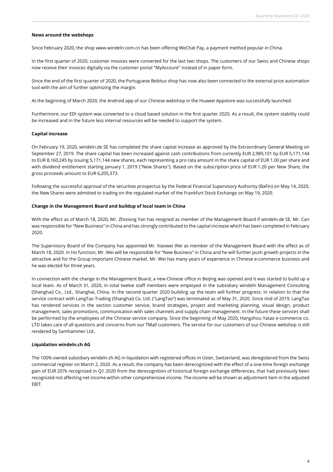#### **News around the webshops**

Since February 2020, the shop www.windeln.com.cn has been offering WeChat Pay, a payment method popular in China.

In the first quarter of 2020, customer invoices were converted for the last two shops. The customers of our Swiss and Chinese shops now receive their invoices digitally via the customer portal "MyAccount" instead of in paper form.

Since the end of the first quarter of 2020, the Portuguese Bebitus shop has now also been connected to the external price automation tool with the aim of further optimizing the margin.

At the beginning of March 2020, the Android app of our Chinese webshop in the Huawei Appstore was successfully launched.

Furthermore, our EDI system was converted to a cloud based solution in the first quarter 2020. As a result, the system stability could be increased and in the future less internal resources will be needed to support the system.

#### **Capital increase**

On February 19, 2020, windeln.de SE has completed the share capital increase as approved by the Extraordinary General Meeting on September 27, 2019. The share capital has been increased against cash contributions from currently EUR 2,989,101 by EUR 5,171,144 to EUR 8,160,245 by issuing 5,171,144 new shares, each representing a pro rata amount in the share capital of EUR 1.00 per share and with dividend entitlement starting January 1, 2019 ("New Shares"). Based on the subscription price of EUR 1.20 per New Share, the gross proceeds amount to EUR 6,205,373.

Following the successful approval of the securities prospectus by the Federal Financial Supervisory Authority (BaFin) on May 14, 2020, the New Shares were admitted to trading on the regulated market of the Frankfurt Stock Exchange on May 19, 2020.

#### **Change in the Management Board and buildup of local team in China**

With the effect as of March 18, 2020, Mr. Zhixiong Yan has resigned as member of the Management Board if windeln.de SE. Mr. Can was responsible for "New Business" in China and has strongly contributed to the capital increase which has been completed in February 2020.

The Supervisory Board of the Company has appointed Mr. Xiaowei Wei as member of the Management Board with the effect as of March 18, 2020. In his function, Mr. Wei will be responsible for "New Business" in China and he will further push growth projects in the attractive and for the Group important Chinese market. Mr. Wei has many years of experience in Chinese e-commerce business and he was elected for three years.

In connection with the change in the Management Board, a new Chinese office in Beijing was opened and it was started to build up a local team. As of March 31, 2020, in total twelve staff members were employed in the subsidiary windeln Management Consulting (Shanghai) Co., Ltd., Shanghai, China. In the second quarter 2020 building up the team will further progress. In relation to that the service contract with LangTao Trading (Shanghai) Co. Ltd. ("LangTao") was terminated as of May 31, 2020. Since mid of 2019, LangTao has rendered services in the section customer service, brand strategies, project and marketing planning, visual design, product management, sales promotions, communication with sales channels and supply chain management. In the future these services shall be performed by the employees of the Chinese service company. Since the beginning of May 2020, Hangzhou Yatao e-commerce co. LTD takes care of all questions and concerns from our TMall customers. The service for our customers of our Chinese webshop is still rendered by Samhammer Ltd..

#### **Liquidation windeln.ch AG**

The 100% owned subsidiary windeln.ch AG in liquidation with registered offices in Uster, Switzerland, was deregistered from the Swiss commercial register on March 2, 2020. As a result, the company has been derecognized with the effect of a one-time foreign exchange gain of EUR 207k recognized in Q1 2020 from the derecognition of historical foreign exchange differences, that had previously been recognized not affecting net income within other comprehensive income. The income will be shown as adjustment item in the adjusted EBIT.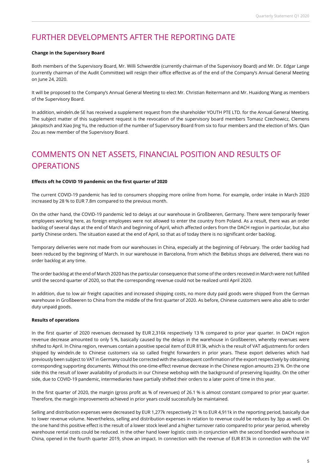### FURTHER DEVELOPMENTS AFTER THE REPORTING DATE

#### **Change in the Supervisory Board**

Both members of the Supervisory Board, Mr. Willi Schwerdtle (currently chairman of the Supervisory Board) and Mr. Dr. Edgar Lange (currently chairman of the Audit Committee) will resign their office effective as of the end of the Company's Annual General Meeting on June 24, 2020.

It will be proposed to the Company's Annual General Meeting to elect Mr. Christian Reitermann and Mr. Huaidong Wang as members of the Supervisory Board.

In addition, windeln.de SE has received a supplement request from the shareholder YOUTH PTE LTD. for the Annual General Meeting. The subject matter of this supplement request is the revocation of the supervisory board members Tomasz Czechowicz, Clemens Jakopitsch and Xiao Jing Yu, the reduction of the number of Supervisory Board from six to four members and the election of Mrs. Qian Zou as new member of the Supervisory Board.

# COMMENTS ON NET ASSETS, FINANCIAL POSITION AND RESULTS OF **OPERATIONS**

#### **Effects oft he COVID 19 pandemic on the first quarter of 2020**

The current COVID-19 pandemic has led to consumers shopping more online from home. For example, order intake in March 2020 increased by 28 % to EUR 7.8m compared to the previous month.

On the other hand, the COVID-19 pandemic led to delays at our warehouse in Großbeeren, Germany. There were temporarily fewer employees working here, as foreign employees were not allowed to enter the country from Poland. As a result, there was an order backlog of several days at the end of March and beginning of April, which affected orders from the DACH region in particular, but also partly Chinese orders. The situation eased at the end of April, so that as of today there is no significant order backlog.

Temporary deliveries were not made from our warehouses in China, especially at the beginning of February. The order backlog had been reduced by the beginning of March. In our warehouse in Barcelona, from which the Bebitus shops are delivered, there was no order backlog at any time.

The order backlog at the end of March 2020 has the particular consequence that some of the orders received in March were not fulfilled until the second quarter of 2020, so that the corresponding revenue could not be realized until April 2020.

In addition, due to low air freight capacities and increased shipping costs, no more duty paid goods were shipped from the German warehouse in Großbeeren to China from the middle of the first quarter of 2020. As before, Chinese customers were also able to order duty unpaid goods.

#### **Results of operations**

In the first quarter of 2020 revenues decreased by EUR 2,316k respectively 13 % compared to prior year quarter. In DACH region revenue decrease amounted to only 5 %, basically caused by the delays in the warehouse in Großbeeren, whereby revenues were shifted to April. In China region, revenues contain a positive special item of EUR 813k, which is the result of VAT adjustments for orders shipped by windeln.de to Chinese customers via so called freight forwarders in prior years. These export deliveries which had previously been subject to VAT in Germany could be corrected with the subsequent confirmation of the export respectively by obtaining corresponding supporting documents. Without this one-time-effect revenue decrease in the Chinese region amounts 23 %. On the one side this the result of lower availability of products in our Chinese webshop with the background of preserving liquidity. On the other side, due to COVID-19 pandemic, intermediaries have partially shifted their orders to a later point of time in this year.

In the first quarter of 2020, the margin (gross profit as % of revenues) of 26.1 % is almost constant compared to prior year quarter. Therefore, the margin improvements achieved in prior years could successfully be maintained.

Selling and distribution expenses were decreased by EUR 1,277k respectively 21 % to EUR 4,911k in the reporting period, basically due to lower revenue volume. Nevertheless, selling and distribution expenses in relation to revenue could be reduces by 3pp as well. On the one hand this positive effect is the result of a lower stock level and a higher turnover ratio compared to prior year period, whereby warehouse rental costs could be reduced. In the other hand lower logistic costs in conjunction with the second bonded warehouse in China, opened in the fourth quarter 2019, show an impact. In connection with the revenue of EUR 813k in connection with the VAT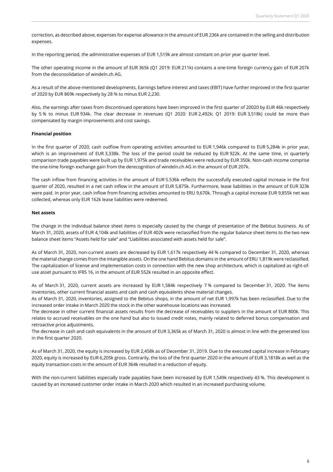correction, as described above, expenses for expense allowance in the amount of EUR 236k are contained in the selling and distribution expenses.

In the reporting period, the administrative expenses of EUR 1,519k are almost constant on prior year quarter level.

The other operating income in the amount of EUR 365k (Q1 2019: EUR 211k) contains a one-time foreign currency gain of EUR 207k from the deconsolidation of windeln.ch AG.

As a result of the above-mentioned developments, Earnings before interest and taxes (EBIT) have further improved in the first quarter of 2020 by EUR 869k respectively by 28 % to minus EUR 2,230.

Also, the earnings after taxes from discontinued operations have been improved in the first quarter of 20020 by EUR 46k respectively by 5 % to minus EUR 934k. The clear decrease in revenues (Q1 2020: EUR 2,492k; Q1 2019: EUR 3,518k) could be more than compensated by margin improvements and cost savings.

#### **Financial position**

In the first quarter of 2020, cash outflow from operating activities amounted to EUR 1,946k compared to EUR 5,284k in prior year, which is an improvement of EUR 3,338k. The loss of the period could be reduced by EUR 922k. At the same time, in quarterly comparison trade payables were built up by EUR 1,975k and trade receivables were reduced by EUR 350k. Non-cash income comprise the one-time foreign exchange gain from the derecognition of windeln.ch AG in the amount of EUR 207k.

The cash inflow from financing activities in the amount of EUR 5.536k reflects the successfully executed capital increase in the first quarter of 2020, resulted in a net cash inflow in the amount of EUR 5,875k. Furthermore, lease liabilities in the amount of EUR 323k were paid. In prior year, cash inflow from financing activities amounted to ERU 9,670k. Through a capital increase EUR 9,855k net was collected, whereas only EUR 162k lease liabilities were redeemed.

#### **Net assets**

The change in the individual balance sheet items is especially caused by the change of presentation of the Bebitus business. As of March 31, 2020, assets of EUR 4,104k and liabilities of EUR 402k were reclassified from the regular balance sheet items to the two new balance sheet items "Assets held for sale" and "Liabilities associated with assets held for sale".

As of March 31, 2020, non-current assets are decreased by EUR 1,617k respectively 44 % compared to December 31, 2020, whereas the material change comes from the intangible assets. On the one hand Bebitus domains in the amount of ERU 1,819k were reclassified. The capitalization of license and implementation costs in connection with the new shop architecture, which is capitalized as right-ofuse asset pursuant to IFRS 16, in the amount of EUR 552k resulted in an opposite effect.

As of March 31, 2020, current assets are increased by EUR 1,584k respectively 7 % compared to December 31, 2020. The items inventories, other current financial assets and cash and cash equivalents show material changes.

As of March 31, 2020, inventories, assigned to the Bebitus shops, in the amount of net EUR 1,997k has been reclassified. Due to the increased order intake in March 2020 the stock in the other warehouse locations was increased.

The decrease in other current financial assets results from the decrease of receivables to suppliers in the amount of EUR 800k. This relates to accrued receivables on the one hand but also to issued credit notes, mainly related to deferred bonus compensation and retroactive price adjustments.

The decrease in cash and cash equivalents in the amount of EUR 3,365k as of March 31, 2020 is almost in line with the generated loss in the first quarter 2020.

As of March 31, 2020, the equity is increased by EUR 2,458k as of December 31, 2019. Due to the executed capital increase in February 2020, equity is increased by EUR 6,205k gross. Contrarily, the loss of the first quarter 2020 in the amount of EUR 3,1818k as well as the equity transaction costs in the amount of EUR 364k resulted in a reduction of equity.

With the non-current liabilities especially trade payables have been increased by EUR 1,549k respectively 43 %. This development is caused by an increased customer order intake in March 2020 which resulted in an increased purchasing volume.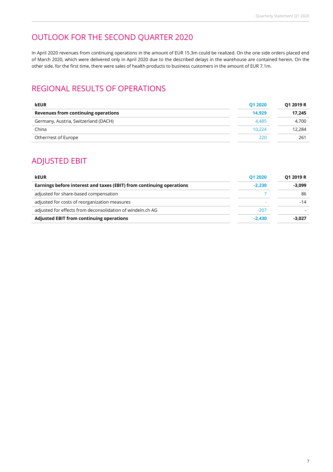# OUTLOOK FOR THE SECOND QUARTER 2020

In April 2020 revenues from continuing operations in the amount of EUR 15.3m could be realized. On the one side orders placed end of March 2020, which were delivered only in April 2020 due to the described delays in the warehouse are contained herein. On the other side, for the first time, there were sales of health products to business customers in the amount of EUR 7.1m.

# REGIONAL RESULTS OF OPERATIONS

| <b>kEUR</b>                          | 01 20 20 | Q1 2019 R |
|--------------------------------------|----------|-----------|
| Revenues from continuing operations  | 14.929   | 17.245    |
| Germany, Austria, Switzerland (DACH) | 4.485    | 4.700     |
| China                                | 10.224   | 12.284    |
| Other/rest of Europe                 | 220      | 261       |
|                                      |          |           |

### ADJUSTED EBIT

| <b>kEUR</b>                                                          | 01 20 20 | Q1 2019 R |  |
|----------------------------------------------------------------------|----------|-----------|--|
| Earnings before interest and taxes (EBIT) from continuing operations | $-2.230$ | $-3,099$  |  |
| adjusted for share-based compensation                                |          | 86        |  |
| adjusted for costs of reorganization measures                        |          | -14       |  |
| adjusted for effects from deconsolidation of windeln.ch AG           | $-207$   |           |  |
| <b>Adjusted EBIT from continuing operations</b>                      | $-2.430$ | $-3.027$  |  |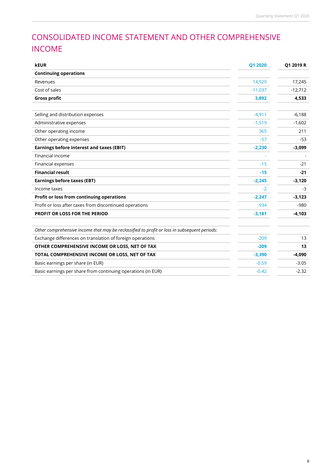# CONSOLIDATED INCOME STATEMENT AND OTHER COMPREHENSIVE INCOME

| <b>kEUR</b>                                                                                  | Q1 2020   | Q1 2019 R |
|----------------------------------------------------------------------------------------------|-----------|-----------|
| <b>Continuing operations</b>                                                                 |           |           |
| Revenues                                                                                     | 14.929    | 17,245    |
| Cost of sales                                                                                | $-11,037$ | $-12,712$ |
| <b>Gross profit</b>                                                                          | 3,892     | 4,533     |
|                                                                                              |           |           |
| Selling and distribution expenses                                                            | $-4,911$  | $-6,188$  |
| Administrative expenses                                                                      | $-1,519$  | $-1,602$  |
| Other operating income                                                                       | 365       | 211       |
| Other operating expenses                                                                     | -57       | -53       |
| Earnings before interest and taxes (EBIT)                                                    | $-2,230$  | $-3,099$  |
| Financial income                                                                             |           |           |
| Financial expenses                                                                           | $-15$     | $-21$     |
| <b>Financial result</b>                                                                      | $-15$     | $-21$     |
| <b>Earnings before taxes (EBT)</b>                                                           | $-2,245$  | $-3,120$  |
| Income taxes                                                                                 | $-2$      | $-3$      |
| Profit or loss from continuing operations                                                    | $-2,247$  | $-3,123$  |
| Profit or loss after taxes from discontinued operations                                      | $-934$    | $-980$    |
| <b>PROFIT OR LOSS FOR THE PERIOD</b>                                                         | $-3,181$  | $-4,103$  |
|                                                                                              |           |           |
| Other comprehensive income that may be reclassified to profit or loss in subsequent periods: |           |           |
| Exchange differences on translation of foreign operations                                    | $-209$    | 13        |
| OTHER COMPREHENSIVE INCOME OR LOSS, NET OF TAX                                               | $-209$    | 13        |
| TOTAL COMPREHENSIVE INCOME OR LOSS, NET OF TAX                                               | $-3,390$  | $-4,090$  |
| Basic earnings per share (in EUR)                                                            | $-0.59$   | $-3.05$   |
| Basic earnings per share from continuing operations (in EUR)                                 | $-0.42$   | $-2.32$   |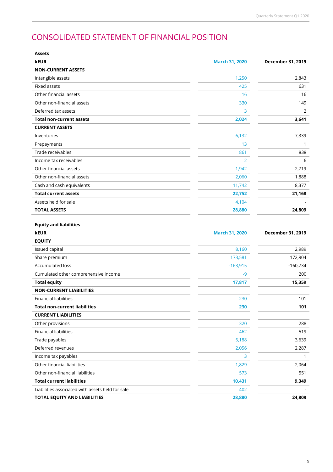# CONSOLIDATED STATEMENT OF FINANCIAL POSITION

| <b>Assets</b>                                    |                       |                   |
|--------------------------------------------------|-----------------------|-------------------|
| <b>kEUR</b>                                      | <b>March 31, 2020</b> | December 31, 2019 |
| <b>NON-CURRENT ASSETS</b>                        |                       |                   |
| Intangible assets                                | 1,250                 | 2,843             |
| Fixed assets                                     | 425                   | 631               |
| Other financial assets                           | 16                    | 16                |
| Other non-financial assets                       | 330                   | 149               |
| Deferred tax assets                              | 3                     | $\overline{2}$    |
| <b>Total non-current assets</b>                  | 2,024                 | 3,641             |
| <b>CURRENT ASSETS</b>                            |                       |                   |
| Inventories                                      | 6,132                 | 7,339             |
| Prepayments                                      | 13                    | 1                 |
| Trade receivables                                | 861                   | 838               |
| Income tax receivables                           | 2                     | 6                 |
| Other financial assets                           | 1,942                 | 2,719             |
| Other non-financial assets                       | 2,060                 | 1,888             |
| Cash and cash equivalents                        | 11,742                | 8,377             |
| <b>Total current assets</b>                      | 22,752                | 21,168            |
| Assets held for sale                             | 4,104                 |                   |
| <b>TOTAL ASSETS</b>                              | 28,880                | 24,809            |
| <b>Equity and liabilities</b><br><b>kEUR</b>     | <b>March 31, 2020</b> | December 31, 2019 |
| <b>EQUITY</b>                                    |                       |                   |
| Issued capital                                   | 8,160                 | 2,989             |
| Share premium                                    | 173,581               | 172,904           |
| Accumulated loss                                 | $-163,915$            | $-160,734$        |
| Cumulated other comprehensive income             | $-9$                  | 200               |
| <b>Total equity</b>                              | 17,817                | 15,359            |
| <b>NON-CURRENT LIABILITIES</b>                   |                       |                   |
| <b>Financial liabilities</b>                     | 230                   | 101               |
| <b>Total non-current liabilities</b>             | 230                   | 101               |
| <b>CURRENT LIABILITIES</b>                       |                       |                   |
| Other provisions                                 | 320                   | 288               |
| <b>Financial liabilities</b>                     | 462                   | 519               |
| Trade payables                                   | 5,188                 | 3,639             |
| Deferred revenues                                | 2,056                 | 2,287             |
| Income tax payables                              | 3                     | 1                 |
| Other financial liabilities                      | 1,829                 | 2,064             |
| Other non-financial liabilities                  | 573                   | 551               |
| <b>Total current liabilities</b>                 | 10,431                | 9,349             |
| Liabilities associated with assets held for sale | 402                   |                   |
| TOTAL EQUITY AND LIABILITIES                     | 28,880                | 24,809            |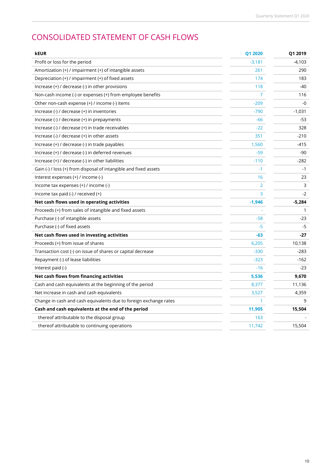# CONSOLIDATED STATEMENT OF CASH FLOWS

| <b>kEUR</b>                                                                   | Q1 2020        | Q1 2019  |
|-------------------------------------------------------------------------------|----------------|----------|
| Profit or loss for the period                                                 | $-3,181$       | $-4,103$ |
| Amortization $(+)$ / impairment $(+)$ of intangible assets                    | 261            | 290      |
| Depreciation (+) / impairment (+) of fixed assets                             | 174            | 183      |
| Increase $(+)$ / decrease $(-)$ in other provisions                           | 118            | $-40$    |
| Non-cash income (-) or expenses (+) from employee benefits                    | 7              | 116      |
| Other non-cash expense (+) / income (-) items                                 | $-209$         | $-0$     |
| Increase (-) / decrease (+) in inventories                                    | $-790$         | $-1,031$ |
| Increase (-) / decrease (+) in prepayments                                    | $-66$          | -53      |
| Increase (-) / decrease (+) in trade receivables                              | $-22$          | 328      |
| Increase $\left(\cdot\right)$ / decrease $\left(\cdot\right)$ in other assets | 351            | $-210$   |
| Increase (+) / decrease (-) in trade payables                                 | 1,560          | $-415$   |
| Increase (+) / decrease (-) in deferred revenues                              | $-59$          | -90      |
| Increase (+) / decrease (-) in other liabilities                              | $-110$         | $-282$   |
| Gain (-) / loss (+) from disposal of intangible and fixed assets              | $-1$           | $-1$     |
| Interest expenses (+) / income (-)                                            | 16             | 23       |
| Income tax expenses (+) / income (-)                                          | $\overline{2}$ | 3        |
| Income tax paid (-) / received (+)                                            | 3              | $-2$     |
| Net cash flows used in operating activities                                   | $-1,946$       | $-5,284$ |
| Proceeds (+) from sales of intangible and fixed assets                        |                | 1        |
| Purchase (-) of intangible assets                                             | $-58$          | -23      |
| Purchase (-) of fixed assets                                                  | $-5$           | $-5$     |
| Net cash flows used in investing activities                                   | $-63$          | -27      |
| Proceeds (+) from issue of shares                                             | 6,205          | 10,138   |
| Transaction cost (-) on issue of shares or capital decrease                   | $-330$         | $-283$   |
| Repayment (-) of lease liabilities                                            | $-323$         | $-162$   |
| Interest paid (-)                                                             | $-16$          | $-23$    |
| Net cash flows from financing activities                                      | 5,536          | 9,670    |
| Cash and cash equivalents at the beginning of the period                      | 8,377          | 11,136   |
| Net increase in cash and cash equivalents                                     | 3,527          | 4,359    |
| Change in cash and cash equivalents due to foreign exchange rates             | 1.             | 9        |
| Cash and cash equivalents at the end of the period                            | 11,905         | 15,504   |
| thereof attributable to the disposal group                                    | 163            |          |
| thereof attributable to continuing operations                                 | 11,742         | 15,504   |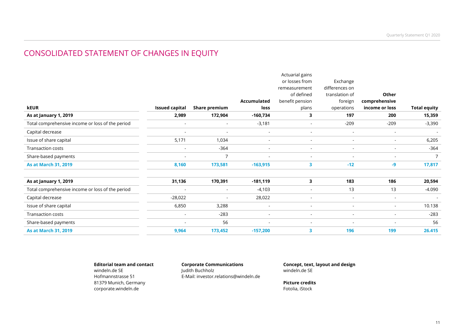### CONSOLIDATED STATEMENT OF CHANGES IN EQUITY

|                                                  |                          |                |                          | Actuarial gains          |                          |                          |                     |
|--------------------------------------------------|--------------------------|----------------|--------------------------|--------------------------|--------------------------|--------------------------|---------------------|
|                                                  |                          |                |                          | or losses from           | Exchange                 |                          |                     |
|                                                  |                          |                |                          | remeasurement            | differences on           |                          |                     |
|                                                  |                          |                |                          | of defined               | translation of           | Other                    |                     |
|                                                  |                          |                | Accumulated              | benefit pension          | foreign                  | comprehensive            |                     |
| <b>kEUR</b>                                      | <b>Issued capital</b>    | Share premium  | loss                     | plans                    | operations               | income or loss           | <b>Total equity</b> |
| As at January 1, 2019                            | 2,989                    | 172,904        | $-160,734$               | 3                        | 197                      | 200                      | 15,359              |
| Total comprehensive income or loss of the period | $\blacksquare$           | $\sim$         | $-3,181$                 | $\overline{\phantom{a}}$ | $-209$                   | $-209$                   | $-3,390$            |
| Capital decrease                                 |                          | $\blacksquare$ | $\sim$                   | $\sim$                   | $\sim$                   | $\sim$                   |                     |
| Issue of share capital                           | 5,171                    | 1,034          | $\overline{\phantom{a}}$ | $\overline{\phantom{a}}$ | $\overline{\phantom{a}}$ | $\overline{\phantom{a}}$ | 6,205               |
| Transaction costs                                | $\blacksquare$           | $-364$         | $\overline{\phantom{a}}$ | $\overline{\phantom{a}}$ | $\overline{\phantom{a}}$ |                          | $-364$              |
| Share-based payments                             | $\overline{\phantom{a}}$ | $\overline{ }$ | $\overline{\phantom{a}}$ | $\sim$                   | $\sim$                   | $\sim$                   | 7                   |
| <b>As at March 31, 2019</b>                      | 8,160                    | 173,581        | $-163,915$               | $\overline{\mathbf{3}}$  | $-12$                    | $-9$                     | 17,817              |
| As at January 1, 2019                            | 31,136                   | 170,391        | $-181,119$               | 3                        | 183                      | 186                      | 20,594              |
| Total comprehensive income or loss of the period | $\overline{\phantom{a}}$ | $\blacksquare$ | $-4,103$                 |                          | 13                       | 13                       | $-4.090$            |
| Capital decrease                                 | $-28,022$                | $\blacksquare$ | 28,022                   | $\sim$                   | $\sim$                   | $\sim$                   | $\sim$              |
| Issue of share capital                           | 6,850                    | 3,288          | $\sim$                   | $\sim$                   | $\sim$                   | $\overline{\phantom{a}}$ | 10.138              |
| <b>Transaction costs</b>                         | $\overline{\phantom{a}}$ | $-283$         | $\overline{\phantom{a}}$ | $\overline{\phantom{a}}$ | $\overline{\phantom{a}}$ |                          | $-283$              |
| Share-based payments                             | $\overline{\phantom{a}}$ | 56             | $\overline{\phantom{a}}$ | $\overline{\phantom{a}}$ | $\overline{\phantom{a}}$ |                          | 56                  |
| <b>As at March 31, 2019</b>                      | 9,964                    | 173,452        | $-157,200$               | 3                        | 196                      | 199                      | 26.415              |

**Editorial team and contact**windeln.de SE Hofmannstrasse 51 81379 Munich, Germany corporate.windeln.de

**Corporate Communications**Judith Buchholz E-Mail: investor.relations@windeln.de **Concept, text, layout and design**windeln.de SE

**Picture credits** Fotolia, iStock